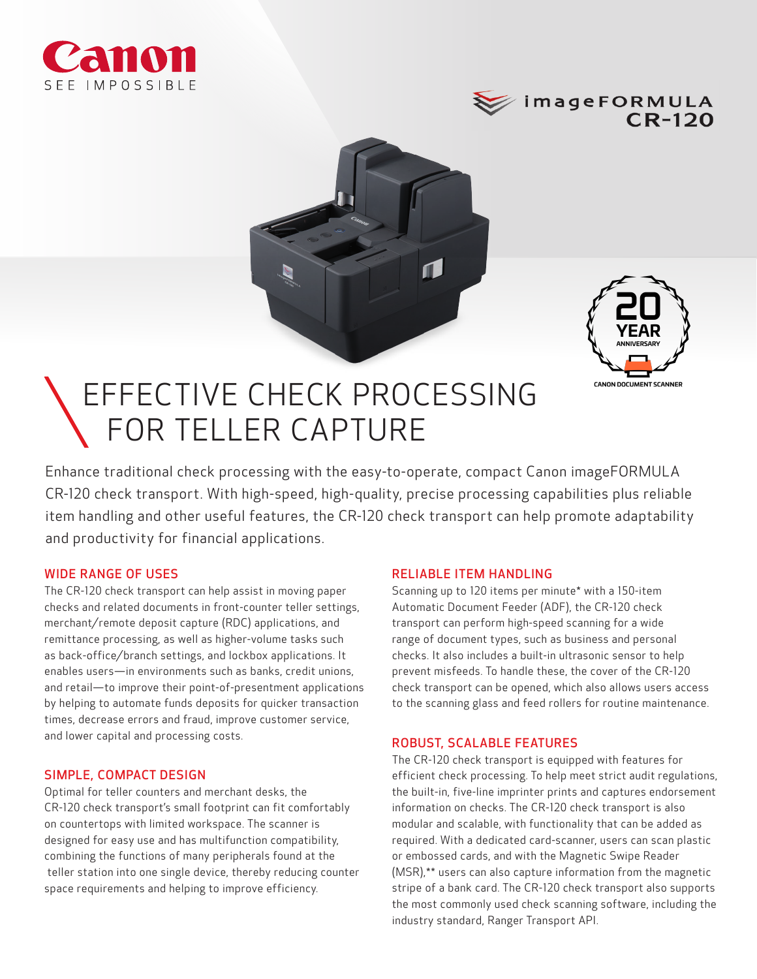





# EFFECTIVE CHECK PROCESSING FOR TELLER CAPTURE

Enhance traditional check processing with the easy-to-operate, compact Canon imageFORMULA CR-120 check transport. With high-speed, high-quality, precise processing capabilities plus reliable item handling and other useful features, the CR-120 check transport can help promote adaptability and productivity for financial applications.

# WIDE RANGE OF USES

The CR-120 check transport can help assist in moving paper checks and related documents in front-counter teller settings, merchant/remote deposit capture (RDC) applications, and remittance processing, as well as higher-volume tasks such as back-office/branch settings, and lockbox applications. It enables users—in environments such as banks, credit unions, and retail—to improve their point-of-presentment applications by helping to automate funds deposits for quicker transaction times, decrease errors and fraud, improve customer service, and lower capital and processing costs.

# SIMPLE, COMPACT DESIGN

Optimal for teller counters and merchant desks, the CR-120 check transport's small footprint can fit comfortably on countertops with limited workspace. The scanner is designed for easy use and has multifunction compatibility, combining the functions of many peripherals found at the teller station into one single device, thereby reducing counter space requirements and helping to improve efficiency.

# RELIABLE ITEM HANDLING

Scanning up to 120 items per minute\* with a 150-item Automatic Document Feeder (ADF), the CR-120 check transport can perform high-speed scanning for a wide range of document types, such as business and personal checks. It also includes a built-in ultrasonic sensor to help prevent misfeeds. To handle these, the cover of the CR-120 check transport can be opened, which also allows users access to the scanning glass and feed rollers for routine maintenance.

#### ROBUST, SCALABLE FEATURES

The CR-120 check transport is equipped with features for efficient check processing. To help meet strict audit regulations, the built-in, five-line imprinter prints and captures endorsement information on checks. The CR-120 check transport is also modular and scalable, with functionality that can be added as required. With a dedicated card-scanner, users can scan plastic or embossed cards, and with the Magnetic Swipe Reader (MSR),\*\* users can also capture information from the magnetic stripe of a bank card. The CR-120 check transport also supports the most commonly used check scanning software, including the industry standard, Ranger Transport API.